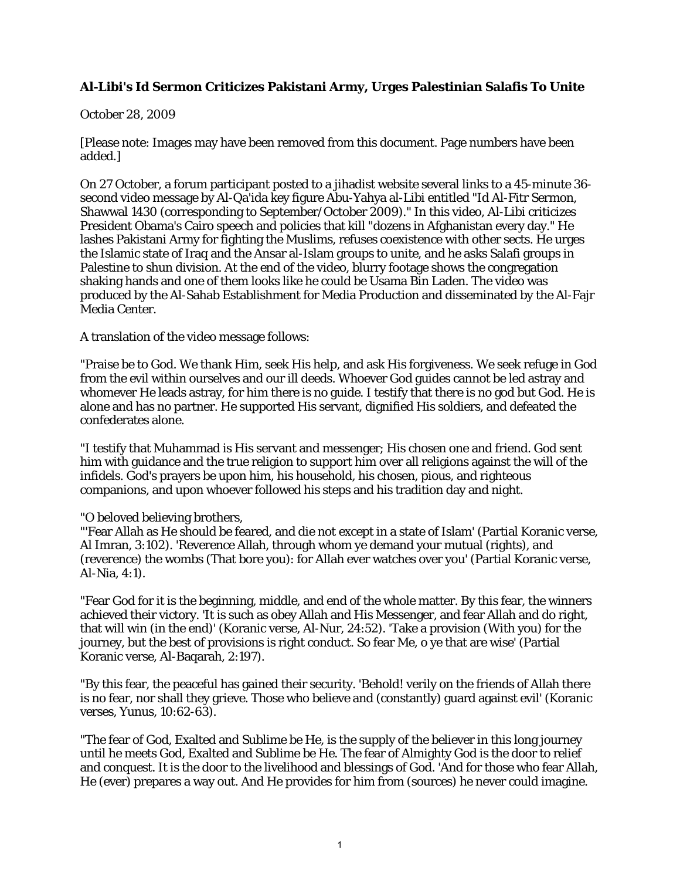## **Al-Libi's Id Sermon Criticizes Pakistani Army, Urges Palestinian Salafis To Unite**

## October 28, 2009

[Please note: Images may have been removed from this document. Page numbers have been added.]

On 27 October, a forum participant posted to a jihadist website several links to a 45-minute 36 second video message by Al-Qa'ida key figure Abu-Yahya al-Libi entitled "Id Al-Fitr Sermon, Shawwal 1430 (corresponding to September/October 2009)." In this video, Al-Libi criticizes President Obama's Cairo speech and policies that kill "dozens in Afghanistan every day." He lashes Pakistani Army for fighting the Muslims, refuses coexistence with other sects. He urges the Islamic state of Iraq and the Ansar al-Islam groups to unite, and he asks Salafi groups in Palestine to shun division. At the end of the video, blurry footage shows the congregation shaking hands and one of them looks like he could be Usama Bin Laden. The video was produced by the Al-Sahab Establishment for Media Production and disseminated by the Al-Fajr Media Center.

A translation of the video message follows:

"Praise be to God. We thank Him, seek His help, and ask His forgiveness. We seek refuge in God from the evil within ourselves and our ill deeds. Whoever God guides cannot be led astray and whomever He leads astray, for him there is no guide. I testify that there is no god but God. He is alone and has no partner. He supported His servant, dignified His soldiers, and defeated the confederates alone.

"I testify that Muhammad is His servant and messenger; His chosen one and friend. God sent him with guidance and the true religion to support him over all religions against the will of the infidels. God's prayers be upon him, his household, his chosen, pious, and righteous companions, and upon whoever followed his steps and his tradition day and night.

"O beloved believing brothers,

"'Fear Allah as He should be feared, and die not except in a state of Islam' (Partial Koranic verse, Al Imran, 3:102). 'Reverence Allah, through whom ye demand your mutual (rights), and (reverence) the wombs (That bore you): for Allah ever watches over you' (Partial Koranic verse, Al-Nia, 4:1).

"Fear God for it is the beginning, middle, and end of the whole matter. By this fear, the winners achieved their victory. 'It is such as obey Allah and His Messenger, and fear Allah and do right, that will win (in the end)' (Koranic verse, Al-Nur, 24:52). 'Take a provision (With you) for the journey, but the best of provisions is right conduct. So fear Me, o ye that are wise' (Partial Koranic verse, Al-Baqarah, 2:197).

"By this fear, the peaceful has gained their security. 'Behold! verily on the friends of Allah there is no fear, nor shall they grieve. Those who believe and (constantly) guard against evil' (Koranic verses, Yunus, 10:62-63).

"The fear of God, Exalted and Sublime be He, is the supply of the believer in this long journey until he meets God, Exalted and Sublime be He. The fear of Almighty God is the door to relief and conquest. It is the door to the livelihood and blessings of God. 'And for those who fear Allah, He (ever) prepares a way out. And He provides for him from (sources) he never could imagine.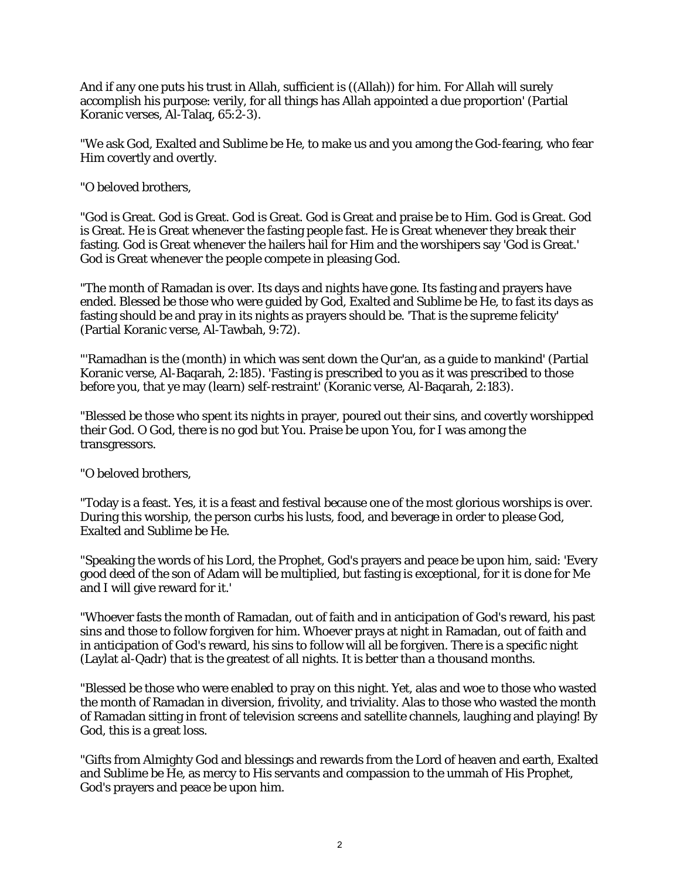And if any one puts his trust in Allah, sufficient is ((Allah)) for him. For Allah will surely accomplish his purpose: verily, for all things has Allah appointed a due proportion' (Partial Koranic verses, Al-Talaq, 65:2-3).

"We ask God, Exalted and Sublime be He, to make us and you among the God-fearing, who fear Him covertly and overtly.

"O beloved brothers,

"God is Great. God is Great. God is Great. God is Great and praise be to Him. God is Great. God is Great. He is Great whenever the fasting people fast. He is Great whenever they break their fasting. God is Great whenever the hailers hail for Him and the worshipers say 'God is Great.' God is Great whenever the people compete in pleasing God.

"The month of Ramadan is over. Its days and nights have gone. Its fasting and prayers have ended. Blessed be those who were guided by God, Exalted and Sublime be He, to fast its days as fasting should be and pray in its nights as prayers should be. 'That is the supreme felicity' (Partial Koranic verse, Al-Tawbah, 9:72).

"'Ramadhan is the (month) in which was sent down the Qur'an, as a guide to mankind' (Partial Koranic verse, Al-Baqarah, 2:185). 'Fasting is prescribed to you as it was prescribed to those before you, that ye may (learn) self-restraint' (Koranic verse, Al-Baqarah, 2:183).

"Blessed be those who spent its nights in prayer, poured out their sins, and covertly worshipped their God. O God, there is no god but You. Praise be upon You, for I was among the transgressors.

"O beloved brothers,

"Today is a feast. Yes, it is a feast and festival because one of the most glorious worships is over. During this worship, the person curbs his lusts, food, and beverage in order to please God, Exalted and Sublime be He.

"Speaking the words of his Lord, the Prophet, God's prayers and peace be upon him, said: 'Every good deed of the son of Adam will be multiplied, but fasting is exceptional, for it is done for Me and I will give reward for it.'

"Whoever fasts the month of Ramadan, out of faith and in anticipation of God's reward, his past sins and those to follow forgiven for him. Whoever prays at night in Ramadan, out of faith and in anticipation of God's reward, his sins to follow will all be forgiven. There is a specific night (Laylat al-Qadr) that is the greatest of all nights. It is better than a thousand months.

"Blessed be those who were enabled to pray on this night. Yet, alas and woe to those who wasted the month of Ramadan in diversion, frivolity, and triviality. Alas to those who wasted the month of Ramadan sitting in front of television screens and satellite channels, laughing and playing! By God, this is a great loss.

"Gifts from Almighty God and blessings and rewards from the Lord of heaven and earth, Exalted and Sublime be He, as mercy to His servants and compassion to the ummah of His Prophet, God's prayers and peace be upon him.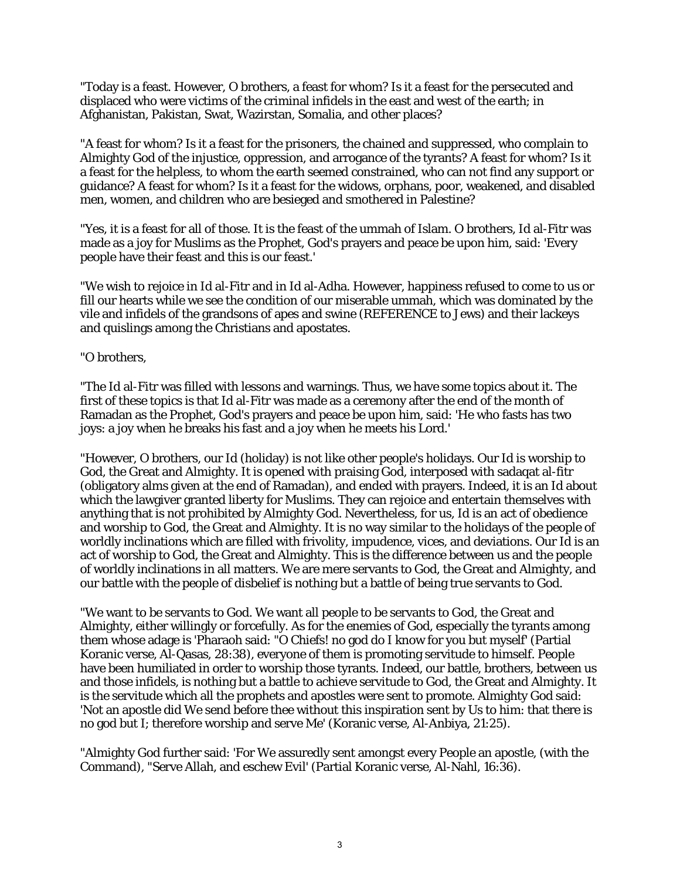"Today is a feast. However, O brothers, a feast for whom? Is it a feast for the persecuted and displaced who were victims of the criminal infidels in the east and west of the earth; in Afghanistan, Pakistan, Swat, Wazirstan, Somalia, and other places?

"A feast for whom? Is it a feast for the prisoners, the chained and suppressed, who complain to Almighty God of the injustice, oppression, and arrogance of the tyrants? A feast for whom? Is it a feast for the helpless, to whom the earth seemed constrained, who can not find any support or guidance? A feast for whom? Is it a feast for the widows, orphans, poor, weakened, and disabled men, women, and children who are besieged and smothered in Palestine?

"Yes, it is a feast for all of those. It is the feast of the ummah of Islam. O brothers, Id al-Fitr was made as a joy for Muslims as the Prophet, God's prayers and peace be upon him, said: 'Every people have their feast and this is our feast.'

"We wish to rejoice in Id al-Fitr and in Id al-Adha. However, happiness refused to come to us or fill our hearts while we see the condition of our miserable ummah, which was dominated by the vile and infidels of the grandsons of apes and swine (REFERENCE to Jews) and their lackeys and quislings among the Christians and apostates.

## "O brothers,

"The Id al-Fitr was filled with lessons and warnings. Thus, we have some topics about it. The first of these topics is that Id al-Fitr was made as a ceremony after the end of the month of Ramadan as the Prophet, God's prayers and peace be upon him, said: 'He who fasts has two joys: a joy when he breaks his fast and a joy when he meets his Lord.'

"However, O brothers, our Id (holiday) is not like other people's holidays. Our Id is worship to God, the Great and Almighty. It is opened with praising God, interposed with sadaqat al-fitr (obligatory alms given at the end of Ramadan), and ended with prayers. Indeed, it is an Id about which the lawgiver granted liberty for Muslims. They can rejoice and entertain themselves with anything that is not prohibited by Almighty God. Nevertheless, for us, Id is an act of obedience and worship to God, the Great and Almighty. It is no way similar to the holidays of the people of worldly inclinations which are filled with frivolity, impudence, vices, and deviations. Our Id is an act of worship to God, the Great and Almighty. This is the difference between us and the people of worldly inclinations in all matters. We are mere servants to God, the Great and Almighty, and our battle with the people of disbelief is nothing but a battle of being true servants to God.

"We want to be servants to God. We want all people to be servants to God, the Great and Almighty, either willingly or forcefully. As for the enemies of God, especially the tyrants among them whose adage is 'Pharaoh said: "O Chiefs! no god do I know for you but myself' (Partial Koranic verse, Al-Qasas, 28:38), everyone of them is promoting servitude to himself. People have been humiliated in order to worship those tyrants. Indeed, our battle, brothers, between us and those infidels, is nothing but a battle to achieve servitude to God, the Great and Almighty. It is the servitude which all the prophets and apostles were sent to promote. Almighty God said: 'Not an apostle did We send before thee without this inspiration sent by Us to him: that there is no god but I; therefore worship and serve Me' (Koranic verse, Al-Anbiya, 21:25).

"Almighty God further said: 'For We assuredly sent amongst every People an apostle, (with the Command), "Serve Allah, and eschew Evil' (Partial Koranic verse, Al-Nahl, 16:36).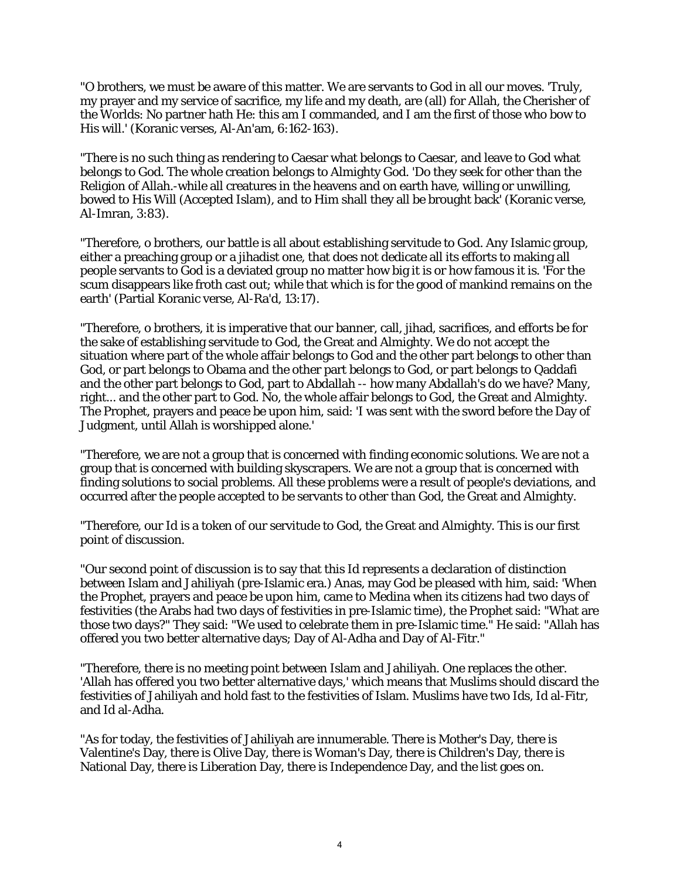"O brothers, we must be aware of this matter. We are servants to God in all our moves. 'Truly, my prayer and my service of sacrifice, my life and my death, are (all) for Allah, the Cherisher of the Worlds: No partner hath He: this am I commanded, and I am the first of those who bow to His will.' (Koranic verses, Al-An'am, 6:162-163).

"There is no such thing as rendering to Caesar what belongs to Caesar, and leave to God what belongs to God. The whole creation belongs to Almighty God. 'Do they seek for other than the Religion of Allah.-while all creatures in the heavens and on earth have, willing or unwilling, bowed to His Will (Accepted Islam), and to Him shall they all be brought back' (Koranic verse, Al-Imran, 3:83).

"Therefore, o brothers, our battle is all about establishing servitude to God. Any Islamic group, either a preaching group or a jihadist one, that does not dedicate all its efforts to making all people servants to God is a deviated group no matter how big it is or how famous it is. 'For the scum disappears like froth cast out; while that which is for the good of mankind remains on the earth' (Partial Koranic verse, Al-Ra'd, 13:17).

"Therefore, o brothers, it is imperative that our banner, call, jihad, sacrifices, and efforts be for the sake of establishing servitude to God, the Great and Almighty. We do not accept the situation where part of the whole affair belongs to God and the other part belongs to other than God, or part belongs to Obama and the other part belongs to God, or part belongs to Qaddafi and the other part belongs to God, part to Abdallah -- how many Abdallah's do we have? Many, right... and the other part to God. No, the whole affair belongs to God, the Great and Almighty. The Prophet, prayers and peace be upon him, said: 'I was sent with the sword before the Day of Judgment, until Allah is worshipped alone.'

"Therefore, we are not a group that is concerned with finding economic solutions. We are not a group that is concerned with building skyscrapers. We are not a group that is concerned with finding solutions to social problems. All these problems were a result of people's deviations, and occurred after the people accepted to be servants to other than God, the Great and Almighty.

"Therefore, our Id is a token of our servitude to God, the Great and Almighty. This is our first point of discussion.

"Our second point of discussion is to say that this Id represents a declaration of distinction between Islam and Jahiliyah (pre-Islamic era.) Anas, may God be pleased with him, said: 'When the Prophet, prayers and peace be upon him, came to Medina when its citizens had two days of festivities (the Arabs had two days of festivities in pre-Islamic time), the Prophet said: "What are those two days?" They said: "We used to celebrate them in pre-Islamic time." He said: "Allah has offered you two better alternative days; Day of Al-Adha and Day of Al-Fitr."

"Therefore, there is no meeting point between Islam and Jahiliyah. One replaces the other. 'Allah has offered you two better alternative days,' which means that Muslims should discard the festivities of Jahiliyah and hold fast to the festivities of Islam. Muslims have two Ids, Id al-Fitr, and Id al-Adha.

"As for today, the festivities of Jahiliyah are innumerable. There is Mother's Day, there is Valentine's Day, there is Olive Day, there is Woman's Day, there is Children's Day, there is National Day, there is Liberation Day, there is Independence Day, and the list goes on.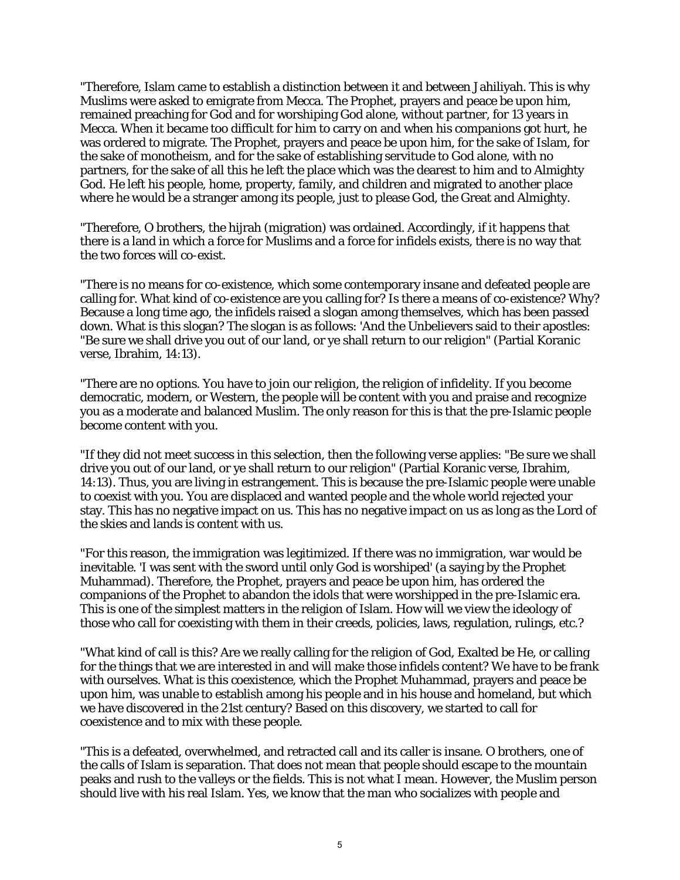"Therefore, Islam came to establish a distinction between it and between Jahiliyah. This is why Muslims were asked to emigrate from Mecca. The Prophet, prayers and peace be upon him, remained preaching for God and for worshiping God alone, without partner, for 13 years in Mecca. When it became too difficult for him to carry on and when his companions got hurt, he was ordered to migrate. The Prophet, prayers and peace be upon him, for the sake of Islam, for the sake of monotheism, and for the sake of establishing servitude to God alone, with no partners, for the sake of all this he left the place which was the dearest to him and to Almighty God. He left his people, home, property, family, and children and migrated to another place where he would be a stranger among its people, just to please God, the Great and Almighty.

"Therefore, O brothers, the hijrah (migration) was ordained. Accordingly, if it happens that there is a land in which a force for Muslims and a force for infidels exists, there is no way that the two forces will co-exist.

"There is no means for co-existence, which some contemporary insane and defeated people are calling for. What kind of co-existence are you calling for? Is there a means of co-existence? Why? Because a long time ago, the infidels raised a slogan among themselves, which has been passed down. What is this slogan? The slogan is as follows: 'And the Unbelievers said to their apostles: "Be sure we shall drive you out of our land, or ye shall return to our religion" (Partial Koranic verse, Ibrahim, 14:13).

"There are no options. You have to join our religion, the religion of infidelity. If you become democratic, modern, or Western, the people will be content with you and praise and recognize you as a moderate and balanced Muslim. The only reason for this is that the pre-Islamic people become content with you.

"If they did not meet success in this selection, then the following verse applies: "Be sure we shall drive you out of our land, or ye shall return to our religion" (Partial Koranic verse, Ibrahim, 14:13). Thus, you are living in estrangement. This is because the pre-Islamic people were unable to coexist with you. You are displaced and wanted people and the whole world rejected your stay. This has no negative impact on us. This has no negative impact on us as long as the Lord of the skies and lands is content with us.

"For this reason, the immigration was legitimized. If there was no immigration, war would be inevitable. 'I was sent with the sword until only God is worshiped' (a saying by the Prophet Muhammad). Therefore, the Prophet, prayers and peace be upon him, has ordered the companions of the Prophet to abandon the idols that were worshipped in the pre-Islamic era. This is one of the simplest matters in the religion of Islam. How will we view the ideology of those who call for coexisting with them in their creeds, policies, laws, regulation, rulings, etc.?

"What kind of call is this? Are we really calling for the religion of God, Exalted be He, or calling for the things that we are interested in and will make those infidels content? We have to be frank with ourselves. What is this coexistence, which the Prophet Muhammad, prayers and peace be upon him, was unable to establish among his people and in his house and homeland, but which we have discovered in the 21st century? Based on this discovery, we started to call for coexistence and to mix with these people.

"This is a defeated, overwhelmed, and retracted call and its caller is insane. O brothers, one of the calls of Islam is separation. That does not mean that people should escape to the mountain peaks and rush to the valleys or the fields. This is not what I mean. However, the Muslim person should live with his real Islam. Yes, we know that the man who socializes with people and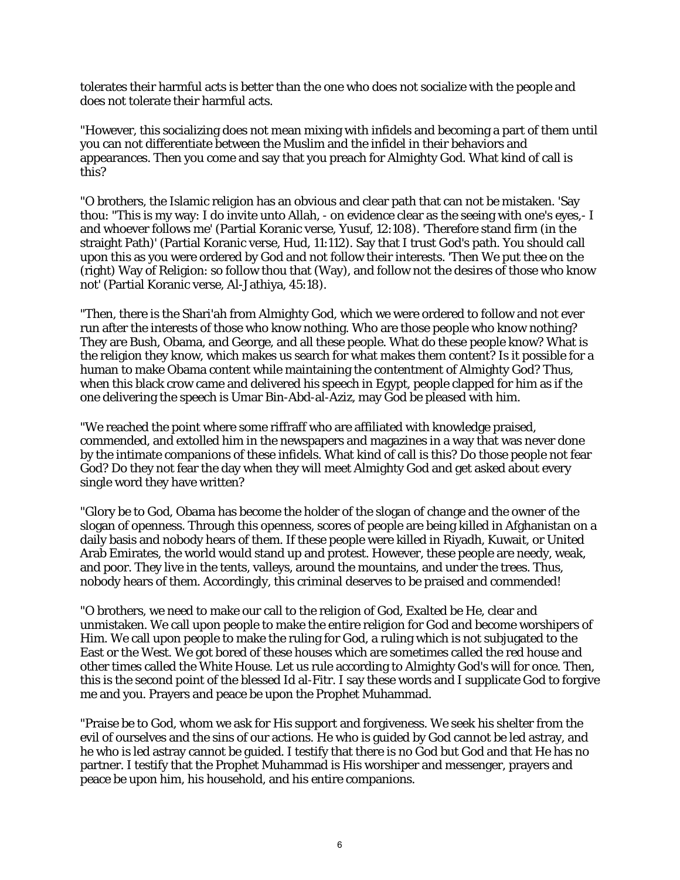tolerates their harmful acts is better than the one who does not socialize with the people and does not tolerate their harmful acts.

"However, this socializing does not mean mixing with infidels and becoming a part of them until you can not differentiate between the Muslim and the infidel in their behaviors and appearances. Then you come and say that you preach for Almighty God. What kind of call is this?

"O brothers, the Islamic religion has an obvious and clear path that can not be mistaken. 'Say thou: "This is my way: I do invite unto Allah, - on evidence clear as the seeing with one's eyes,- I and whoever follows me' (Partial Koranic verse, Yusuf, 12:108). 'Therefore stand firm (in the straight Path)' (Partial Koranic verse, Hud, 11:112). Say that I trust God's path. You should call upon this as you were ordered by God and not follow their interests. 'Then We put thee on the (right) Way of Religion: so follow thou that (Way), and follow not the desires of those who know not' (Partial Koranic verse, Al-Jathiya, 45:18).

"Then, there is the Shari'ah from Almighty God, which we were ordered to follow and not ever run after the interests of those who know nothing. Who are those people who know nothing? They are Bush, Obama, and George, and all these people. What do these people know? What is the religion they know, which makes us search for what makes them content? Is it possible for a human to make Obama content while maintaining the contentment of Almighty God? Thus, when this black crow came and delivered his speech in Egypt, people clapped for him as if the one delivering the speech is Umar Bin-Abd-al-Aziz, may God be pleased with him.

"We reached the point where some riffraff who are affiliated with knowledge praised, commended, and extolled him in the newspapers and magazines in a way that was never done by the intimate companions of these infidels. What kind of call is this? Do those people not fear God? Do they not fear the day when they will meet Almighty God and get asked about every single word they have written?

"Glory be to God, Obama has become the holder of the slogan of change and the owner of the slogan of openness. Through this openness, scores of people are being killed in Afghanistan on a daily basis and nobody hears of them. If these people were killed in Riyadh, Kuwait, or United Arab Emirates, the world would stand up and protest. However, these people are needy, weak, and poor. They live in the tents, valleys, around the mountains, and under the trees. Thus, nobody hears of them. Accordingly, this criminal deserves to be praised and commended!

"O brothers, we need to make our call to the religion of God, Exalted be He, clear and unmistaken. We call upon people to make the entire religion for God and become worshipers of Him. We call upon people to make the ruling for God, a ruling which is not subjugated to the East or the West. We got bored of these houses which are sometimes called the red house and other times called the White House. Let us rule according to Almighty God's will for once. Then, this is the second point of the blessed Id al-Fitr. I say these words and I supplicate God to forgive me and you. Prayers and peace be upon the Prophet Muhammad.

"Praise be to God, whom we ask for His support and forgiveness. We seek his shelter from the evil of ourselves and the sins of our actions. He who is guided by God cannot be led astray, and he who is led astray cannot be guided. I testify that there is no God but God and that He has no partner. I testify that the Prophet Muhammad is His worshiper and messenger, prayers and peace be upon him, his household, and his entire companions.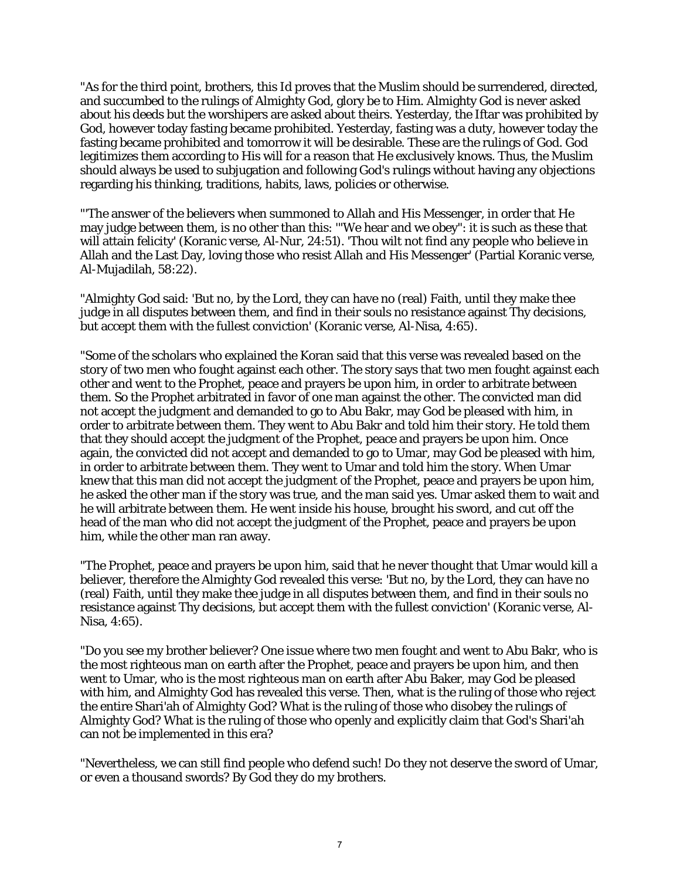"As for the third point, brothers, this Id proves that the Muslim should be surrendered, directed, and succumbed to the rulings of Almighty God, glory be to Him. Almighty God is never asked about his deeds but the worshipers are asked about theirs. Yesterday, the Iftar was prohibited by God, however today fasting became prohibited. Yesterday, fasting was a duty, however today the fasting became prohibited and tomorrow it will be desirable. These are the rulings of God. God legitimizes them according to His will for a reason that He exclusively knows. Thus, the Muslim should always be used to subjugation and following God's rulings without having any objections regarding his thinking, traditions, habits, laws, policies or otherwise.

"'The answer of the believers when summoned to Allah and His Messenger, in order that He may judge between them, is no other than this: '"We hear and we obey": it is such as these that will attain felicity' (Koranic verse, Al-Nur, 24:51). 'Thou wilt not find any people who believe in Allah and the Last Day, loving those who resist Allah and His Messenger' (Partial Koranic verse, Al-Mujadilah, 58:22).

"Almighty God said: 'But no, by the Lord, they can have no (real) Faith, until they make thee judge in all disputes between them, and find in their souls no resistance against Thy decisions, but accept them with the fullest conviction' (Koranic verse, Al-Nisa, 4:65).

"Some of the scholars who explained the Koran said that this verse was revealed based on the story of two men who fought against each other. The story says that two men fought against each other and went to the Prophet, peace and prayers be upon him, in order to arbitrate between them. So the Prophet arbitrated in favor of one man against the other. The convicted man did not accept the judgment and demanded to go to Abu Bakr, may God be pleased with him, in order to arbitrate between them. They went to Abu Bakr and told him their story. He told them that they should accept the judgment of the Prophet, peace and prayers be upon him. Once again, the convicted did not accept and demanded to go to Umar, may God be pleased with him, in order to arbitrate between them. They went to Umar and told him the story. When Umar knew that this man did not accept the judgment of the Prophet, peace and prayers be upon him, he asked the other man if the story was true, and the man said yes. Umar asked them to wait and he will arbitrate between them. He went inside his house, brought his sword, and cut off the head of the man who did not accept the judgment of the Prophet, peace and prayers be upon him, while the other man ran away.

"The Prophet, peace and prayers be upon him, said that he never thought that Umar would kill a believer, therefore the Almighty God revealed this verse: 'But no, by the Lord, they can have no (real) Faith, until they make thee judge in all disputes between them, and find in their souls no resistance against Thy decisions, but accept them with the fullest conviction' (Koranic verse, Al-Nisa, 4:65).

"Do you see my brother believer? One issue where two men fought and went to Abu Bakr, who is the most righteous man on earth after the Prophet, peace and prayers be upon him, and then went to Umar, who is the most righteous man on earth after Abu Baker, may God be pleased with him, and Almighty God has revealed this verse. Then, what is the ruling of those who reject the entire Shari'ah of Almighty God? What is the ruling of those who disobey the rulings of Almighty God? What is the ruling of those who openly and explicitly claim that God's Shari'ah can not be implemented in this era?

"Nevertheless, we can still find people who defend such! Do they not deserve the sword of Umar, or even a thousand swords? By God they do my brothers.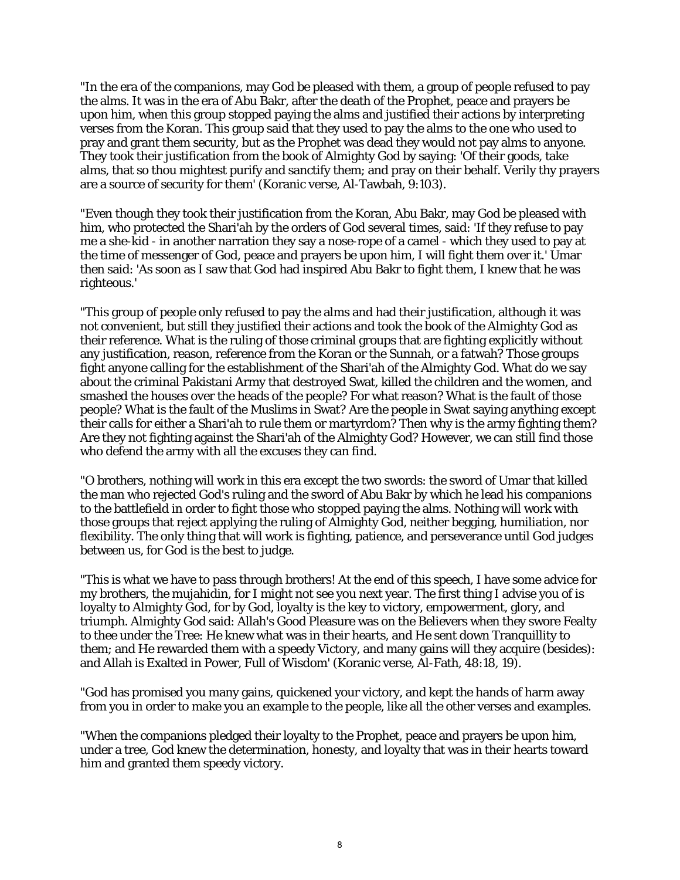"In the era of the companions, may God be pleased with them, a group of people refused to pay the alms. It was in the era of Abu Bakr, after the death of the Prophet, peace and prayers be upon him, when this group stopped paying the alms and justified their actions by interpreting verses from the Koran. This group said that they used to pay the alms to the one who used to pray and grant them security, but as the Prophet was dead they would not pay alms to anyone. They took their justification from the book of Almighty God by saying: 'Of their goods, take alms, that so thou mightest purify and sanctify them; and pray on their behalf. Verily thy prayers are a source of security for them' (Koranic verse, Al-Tawbah, 9:103).

"Even though they took their justification from the Koran, Abu Bakr, may God be pleased with him, who protected the Shari'ah by the orders of God several times, said: 'If they refuse to pay me a she-kid - in another narration they say a nose-rope of a camel - which they used to pay at the time of messenger of God, peace and prayers be upon him, I will fight them over it.' Umar then said: 'As soon as I saw that God had inspired Abu Bakr to fight them, I knew that he was righteous.'

"This group of people only refused to pay the alms and had their justification, although it was not convenient, but still they justified their actions and took the book of the Almighty God as their reference. What is the ruling of those criminal groups that are fighting explicitly without any justification, reason, reference from the Koran or the Sunnah, or a fatwah? Those groups fight anyone calling for the establishment of the Shari'ah of the Almighty God. What do we say about the criminal Pakistani Army that destroyed Swat, killed the children and the women, and smashed the houses over the heads of the people? For what reason? What is the fault of those people? What is the fault of the Muslims in Swat? Are the people in Swat saying anything except their calls for either a Shari'ah to rule them or martyrdom? Then why is the army fighting them? Are they not fighting against the Shari'ah of the Almighty God? However, we can still find those who defend the army with all the excuses they can find.

"O brothers, nothing will work in this era except the two swords: the sword of Umar that killed the man who rejected God's ruling and the sword of Abu Bakr by which he lead his companions to the battlefield in order to fight those who stopped paying the alms. Nothing will work with those groups that reject applying the ruling of Almighty God, neither begging, humiliation, nor flexibility. The only thing that will work is fighting, patience, and perseverance until God judges between us, for God is the best to judge.

"This is what we have to pass through brothers! At the end of this speech, I have some advice for my brothers, the mujahidin, for I might not see you next year. The first thing I advise you of is loyalty to Almighty God, for by God, loyalty is the key to victory, empowerment, glory, and triumph. Almighty God said: Allah's Good Pleasure was on the Believers when they swore Fealty to thee under the Tree: He knew what was in their hearts, and He sent down Tranquillity to them; and He rewarded them with a speedy Victory, and many gains will they acquire (besides): and Allah is Exalted in Power, Full of Wisdom' (Koranic verse, Al-Fath, 48:18, 19).

"God has promised you many gains, quickened your victory, and kept the hands of harm away from you in order to make you an example to the people, like all the other verses and examples.

"When the companions pledged their loyalty to the Prophet, peace and prayers be upon him, under a tree, God knew the determination, honesty, and loyalty that was in their hearts toward him and granted them speedy victory.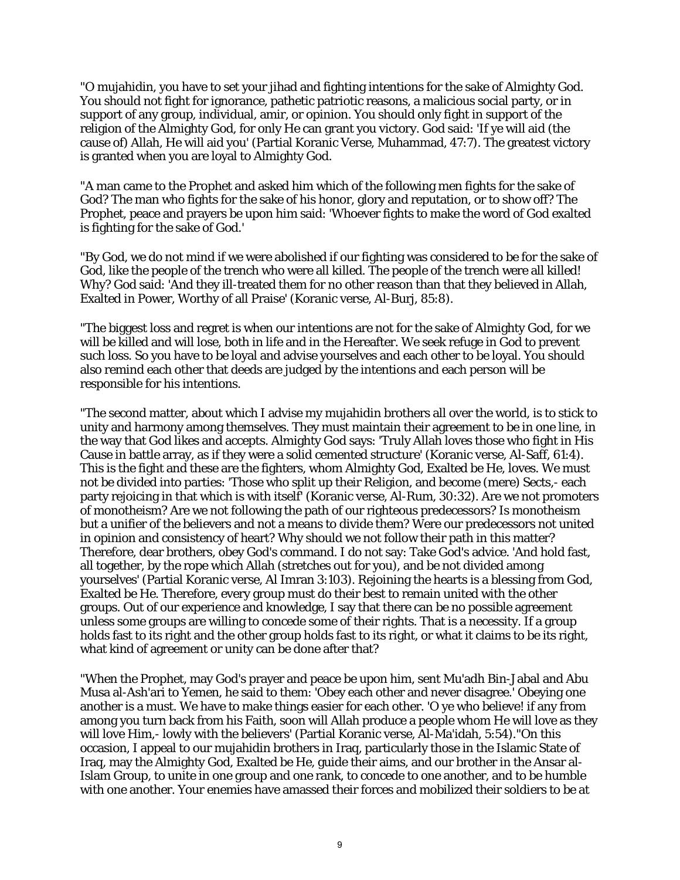"O mujahidin, you have to set your jihad and fighting intentions for the sake of Almighty God. You should not fight for ignorance, pathetic patriotic reasons, a malicious social party, or in support of any group, individual, amir, or opinion. You should only fight in support of the religion of the Almighty God, for only He can grant you victory. God said: 'If ye will aid (the cause of) Allah, He will aid you' (Partial Koranic Verse, Muhammad, 47:7). The greatest victory is granted when you are loyal to Almighty God.

"A man came to the Prophet and asked him which of the following men fights for the sake of God? The man who fights for the sake of his honor, glory and reputation, or to show off? The Prophet, peace and prayers be upon him said: 'Whoever fights to make the word of God exalted is fighting for the sake of God.'

"By God, we do not mind if we were abolished if our fighting was considered to be for the sake of God, like the people of the trench who were all killed. The people of the trench were all killed! Why? God said: 'And they ill-treated them for no other reason than that they believed in Allah, Exalted in Power, Worthy of all Praise' (Koranic verse, Al-Burj, 85:8).

"The biggest loss and regret is when our intentions are not for the sake of Almighty God, for we will be killed and will lose, both in life and in the Hereafter. We seek refuge in God to prevent such loss. So you have to be loyal and advise yourselves and each other to be loyal. You should also remind each other that deeds are judged by the intentions and each person will be responsible for his intentions.

"The second matter, about which I advise my mujahidin brothers all over the world, is to stick to unity and harmony among themselves. They must maintain their agreement to be in one line, in the way that God likes and accepts. Almighty God says: 'Truly Allah loves those who fight in His Cause in battle array, as if they were a solid cemented structure' (Koranic verse, Al-Saff, 61:4). This is the fight and these are the fighters, whom Almighty God, Exalted be He, loves. We must not be divided into parties: 'Those who split up their Religion, and become (mere) Sects,- each party rejoicing in that which is with itself' (Koranic verse, Al-Rum, 30:32). Are we not promoters of monotheism? Are we not following the path of our righteous predecessors? Is monotheism but a unifier of the believers and not a means to divide them? Were our predecessors not united in opinion and consistency of heart? Why should we not follow their path in this matter? Therefore, dear brothers, obey God's command. I do not say: Take God's advice. 'And hold fast, all together, by the rope which Allah (stretches out for you), and be not divided among yourselves' (Partial Koranic verse, Al Imran 3:103). Rejoining the hearts is a blessing from God, Exalted be He. Therefore, every group must do their best to remain united with the other groups. Out of our experience and knowledge, I say that there can be no possible agreement unless some groups are willing to concede some of their rights. That is a necessity. If a group holds fast to its right and the other group holds fast to its right, or what it claims to be its right, what kind of agreement or unity can be done after that?

"When the Prophet, may God's prayer and peace be upon him, sent Mu'adh Bin-Jabal and Abu Musa al-Ash'ari to Yemen, he said to them: 'Obey each other and never disagree.' Obeying one another is a must. We have to make things easier for each other. 'O ye who believe! if any from among you turn back from his Faith, soon will Allah produce a people whom He will love as they will love Him,- lowly with the believers' (Partial Koranic verse, Al-Ma'idah, 5:54)."On this occasion, I appeal to our mujahidin brothers in Iraq, particularly those in the Islamic State of Iraq, may the Almighty God, Exalted be He, guide their aims, and our brother in the Ansar al-Islam Group, to unite in one group and one rank, to concede to one another, and to be humble with one another. Your enemies have amassed their forces and mobilized their soldiers to be at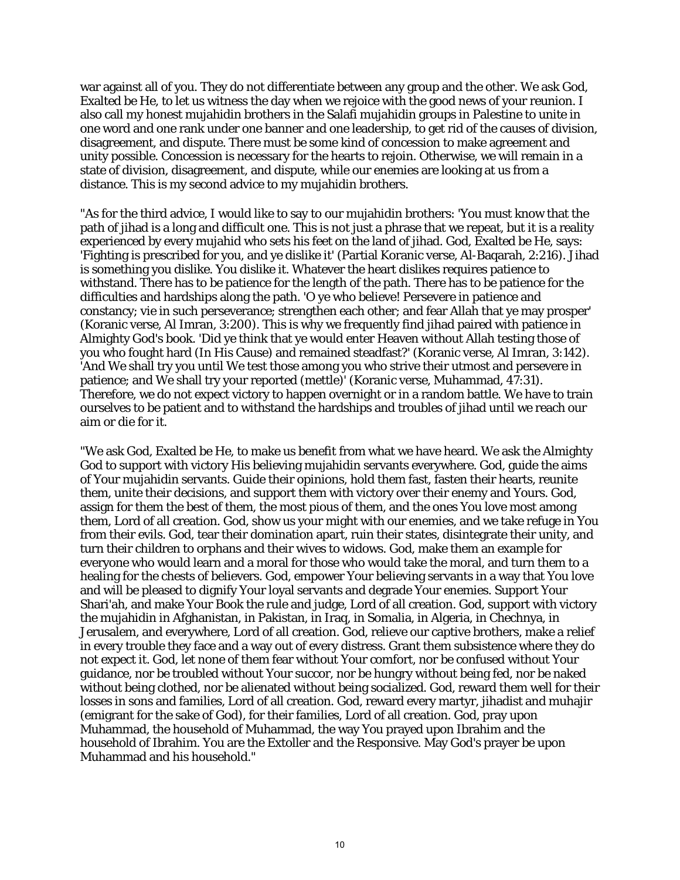war against all of you. They do not differentiate between any group and the other. We ask God, Exalted be He, to let us witness the day when we rejoice with the good news of your reunion. I also call my honest mujahidin brothers in the Salafi mujahidin groups in Palestine to unite in one word and one rank under one banner and one leadership, to get rid of the causes of division, disagreement, and dispute. There must be some kind of concession to make agreement and unity possible. Concession is necessary for the hearts to rejoin. Otherwise, we will remain in a state of division, disagreement, and dispute, while our enemies are looking at us from a distance. This is my second advice to my mujahidin brothers.

"As for the third advice, I would like to say to our mujahidin brothers: 'You must know that the path of jihad is a long and difficult one. This is not just a phrase that we repeat, but it is a reality experienced by every mujahid who sets his feet on the land of jihad. God, Exalted be He, says: 'Fighting is prescribed for you, and ye dislike it' (Partial Koranic verse, Al-Baqarah, 2:216). Jihad is something you dislike. You dislike it. Whatever the heart dislikes requires patience to withstand. There has to be patience for the length of the path. There has to be patience for the difficulties and hardships along the path. 'O ye who believe! Persevere in patience and constancy; vie in such perseverance; strengthen each other; and fear Allah that ye may prosper' (Koranic verse, Al Imran, 3:200). This is why we frequently find jihad paired with patience in Almighty God's book. 'Did ye think that ye would enter Heaven without Allah testing those of you who fought hard (In His Cause) and remained steadfast?' (Koranic verse, Al Imran, 3:142). 'And We shall try you until We test those among you who strive their utmost and persevere in patience; and We shall try your reported (mettle)' (Koranic verse, Muhammad, 47:31). Therefore, we do not expect victory to happen overnight or in a random battle. We have to train ourselves to be patient and to withstand the hardships and troubles of jihad until we reach our aim or die for it.

"We ask God, Exalted be He, to make us benefit from what we have heard. We ask the Almighty God to support with victory His believing mujahidin servants everywhere. God, guide the aims of Your mujahidin servants. Guide their opinions, hold them fast, fasten their hearts, reunite them, unite their decisions, and support them with victory over their enemy and Yours. God, assign for them the best of them, the most pious of them, and the ones You love most among them, Lord of all creation. God, show us your might with our enemies, and we take refuge in You from their evils. God, tear their domination apart, ruin their states, disintegrate their unity, and turn their children to orphans and their wives to widows. God, make them an example for everyone who would learn and a moral for those who would take the moral, and turn them to a healing for the chests of believers. God, empower Your believing servants in a way that You love and will be pleased to dignify Your loyal servants and degrade Your enemies. Support Your Shari'ah, and make Your Book the rule and judge, Lord of all creation. God, support with victory the mujahidin in Afghanistan, in Pakistan, in Iraq, in Somalia, in Algeria, in Chechnya, in Jerusalem, and everywhere, Lord of all creation. God, relieve our captive brothers, make a relief in every trouble they face and a way out of every distress. Grant them subsistence where they do not expect it. God, let none of them fear without Your comfort, nor be confused without Your guidance, nor be troubled without Your succor, nor be hungry without being fed, nor be naked without being clothed, nor be alienated without being socialized. God, reward them well for their losses in sons and families, Lord of all creation. God, reward every martyr, jihadist and muhajir (emigrant for the sake of God), for their families, Lord of all creation. God, pray upon Muhammad, the household of Muhammad, the way You prayed upon Ibrahim and the household of Ibrahim. You are the Extoller and the Responsive. May God's prayer be upon Muhammad and his household."